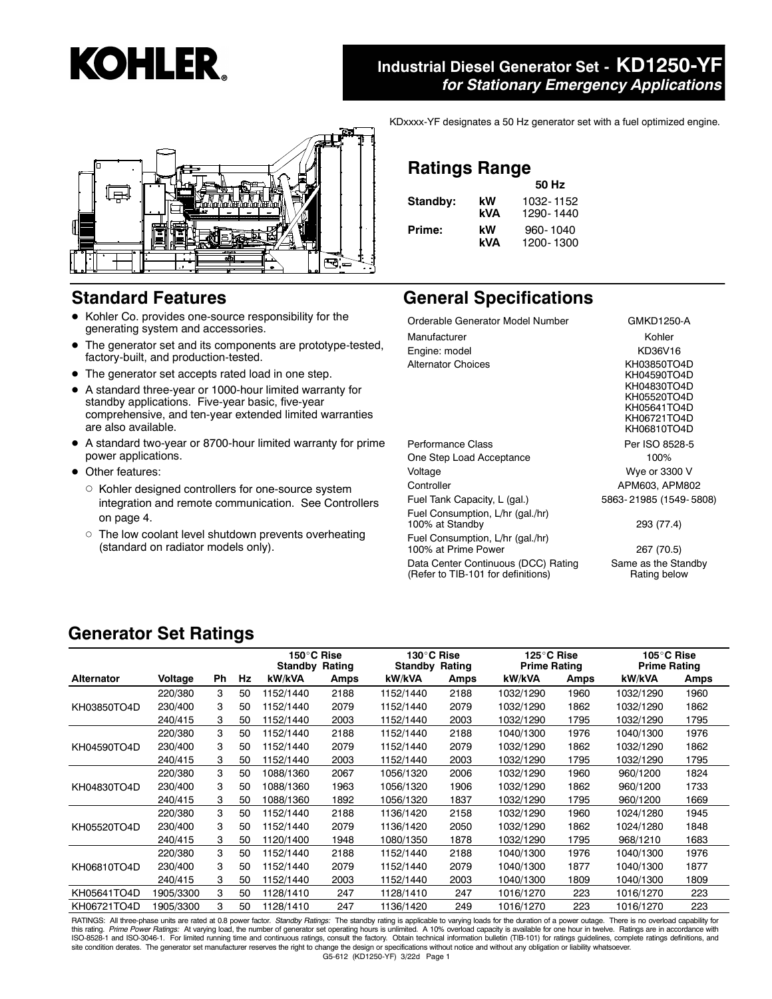# **Industrial Diesel Generator Set - KD1250-YF** *for Stationary Emergency Applications*



# **Standard Features**

- Kohler Co. provides one-source responsibility for the generating system and accessories.
- The generator set and its components are prototype-tested, factory-built, and production-tested.
- The generator set accepts rated load in one step.
- $\bullet$  A standard three-year or 1000-hour limited warranty for standby applications. Five-year basic, five-year comprehensive, and ten-year extended limited warranties are also available.
- A standard two-year or 8700-hour limited warranty for prime power applications.
- Other features:
	- $\circ$  Kohler designed controllers for one-source system integration and remote communication. See Controllers on page 4.
	- o The low coolant level shutdown prevents overheating (standard on radiator models only).

KDxxxx-YF designates a 50 Hz generator set with a fuel optimized engine.

# **Ratings Range**

|          |     | 50 Hz     |
|----------|-----|-----------|
| Standby: | kW  | 1032-1152 |
|          | kVA | 1290-1440 |
| Prime:   | kW  | 960-1040  |
|          | kVΔ | 1200-1300 |

# **General Specifications**

| GMKD1250-A                                                                                            |
|-------------------------------------------------------------------------------------------------------|
| Kohler                                                                                                |
| KD36V16                                                                                               |
| KH03850TO4D<br>KH04590TO4D<br>KH04830TO4D<br>KH05520TO4D<br>KH05641TO4D<br>KH06721TO4D<br>KH06810TO4D |
| Per ISO 8528-5                                                                                        |
| 100%                                                                                                  |
| Wye or 3300 V                                                                                         |
| APM603, APM802                                                                                        |
| 5863-21985 (1549-5808)                                                                                |
| 293 (77.4)                                                                                            |
| 267 (70.5)                                                                                            |
| Same as the Standby<br>Rating below                                                                   |
|                                                                                                       |

# **Generator Set Ratings**

|                   |           |    |    | 150°C Rise<br><b>Standby Rating</b> |      | 130°C Rise<br><b>Standby Rating</b> |      | 125°C Rise<br><b>Prime Rating</b> |      | 105°C Rise<br><b>Prime Rating</b> |      |
|-------------------|-----------|----|----|-------------------------------------|------|-------------------------------------|------|-----------------------------------|------|-----------------------------------|------|
| <b>Alternator</b> | Voltage   | Ph | Hz | kW/kVA                              | Amps | kW/kVA                              | Amps | kW/kVA                            | Amps | kW/kVA                            | Amps |
|                   | 220/380   | 3  | 50 | 1152/1440                           | 2188 | 1152/1440                           | 2188 | 1032/1290                         | 1960 | 1032/1290                         | 1960 |
| KH03850TO4D       | 230/400   | 3  | 50 | 1152/1440                           | 2079 | 1152/1440                           | 2079 | 1032/1290                         | 1862 | 1032/1290                         | 1862 |
|                   | 240/415   | 3  | 50 | 1152/1440                           | 2003 | 1152/1440                           | 2003 | 1032/1290                         | 1795 | 1032/1290                         | 1795 |
|                   | 220/380   | 3  | 50 | 1152/1440                           | 2188 | 1152/1440                           | 2188 | 1040/1300                         | 1976 | 1040/1300                         | 1976 |
| KH04590TO4D       | 230/400   | 3  | 50 | 1152/1440                           | 2079 | 1152/1440                           | 2079 | 1032/1290                         | 1862 | 1032/1290                         | 1862 |
|                   | 240/415   | 3  | 50 | 1152/1440                           | 2003 | 1152/1440                           | 2003 | 1032/1290                         | 1795 | 1032/1290                         | 1795 |
|                   | 220/380   | 3  | 50 | 1088/1360                           | 2067 | 1056/1320                           | 2006 | 1032/1290                         | 1960 | 960/1200                          | 1824 |
| KH04830TO4D       | 230/400   | 3  | 50 | 1088/1360                           | 1963 | 1056/1320                           | 1906 | 1032/1290                         | 1862 | 960/1200                          | 1733 |
|                   | 240/415   | 3  | 50 | 1088/1360                           | 1892 | 1056/1320                           | 1837 | 1032/1290                         | 1795 | 960/1200                          | 1669 |
|                   | 220/380   | 3  | 50 | 1152/1440                           | 2188 | 1136/1420                           | 2158 | 1032/1290                         | 1960 | 1024/1280                         | 1945 |
| KH05520TO4D       | 230/400   | 3  | 50 | 1152/1440                           | 2079 | 1136/1420                           | 2050 | 1032/1290                         | 1862 | 1024/1280                         | 1848 |
|                   | 240/415   | 3  | 50 | 1120/1400                           | 1948 | 1080/1350                           | 1878 | 1032/1290                         | 1795 | 968/1210                          | 1683 |
|                   | 220/380   | 3  | 50 | 1152/1440                           | 2188 | 1152/1440                           | 2188 | 1040/1300                         | 1976 | 1040/1300                         | 1976 |
| KH06810TO4D       | 230/400   | 3  | 50 | 1152/1440                           | 2079 | 1152/1440                           | 2079 | 1040/1300                         | 1877 | 1040/1300                         | 1877 |
|                   | 240/415   | 3  | 50 | 1152/1440                           | 2003 | 1152/1440                           | 2003 | 1040/1300                         | 1809 | 1040/1300                         | 1809 |
| KH05641TO4D       | 1905/3300 | 3  | 50 | 1128/1410                           | 247  | 1128/1410                           | 247  | 1016/1270                         | 223  | 1016/1270                         | 223  |
| KH06721TO4D       | 1905/3300 | 3  | 50 | 1128/1410                           | 247  | 1136/1420                           | 249  | 1016/1270                         | 223  | 1016/1270                         | 223  |

G5-612 (KD1250-YF) 3/22d Page 1 RATINGS: All three-phase units are rated at 0.8 power factor. *Standby Ratings:* The standby rating is applicable to varying loads for the duration of a power outage. There is no overload capability for<br>this rating. *Prime* ISO-8528-1 and ISO-3046-1. For limited running time and continuous ratings, consult the factory. Obtain technical information bulletin (TIB-101) for ratings guidelines, complete ratings definitions, and site condition derates. The generator set manufacturer reserves the right to change the design or specifications without notice and without any obligation or liability whatsoever.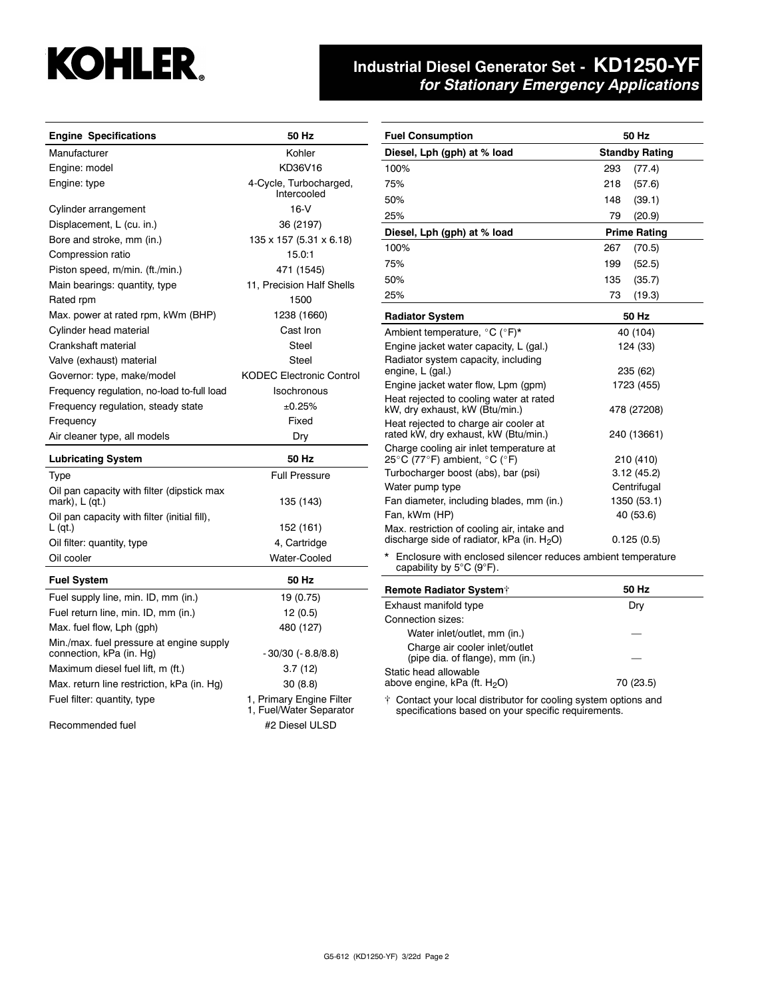# **Industrial Diesel Generator Set - KD1250-YF** *for Stationary Emergency Applications*

| <b>Engine Specifications</b>                                         | 50 Hz                                               | <b>Fuel Consumption</b>                                                                                                | 50 Hz                 |  |
|----------------------------------------------------------------------|-----------------------------------------------------|------------------------------------------------------------------------------------------------------------------------|-----------------------|--|
| Manufacturer                                                         | Kohler                                              | Diesel, Lph (gph) at % load                                                                                            | <b>Standby Rating</b> |  |
| Engine: model                                                        | KD36V16                                             | 100%                                                                                                                   | 293<br>(77.4)         |  |
| Engine: type                                                         | 4-Cycle, Turbocharged,                              | 75%                                                                                                                    | 218<br>(57.6)         |  |
|                                                                      | Intercooled                                         | 50%                                                                                                                    |                       |  |
| Cylinder arrangement                                                 | $16-V$                                              |                                                                                                                        | 148<br>(39.1)         |  |
| Displacement, L (cu. in.)                                            | 36 (2197)                                           | 25%                                                                                                                    | 79<br>(20.9)          |  |
| Bore and stroke, mm (in.)                                            | 135 x 157 (5.31 x 6.18)                             | Diesel, Lph (gph) at % load                                                                                            | <b>Prime Rating</b>   |  |
| Compression ratio                                                    | 15.0:1                                              | 100%                                                                                                                   | 267<br>(70.5)         |  |
| Piston speed, m/min. (ft./min.)                                      | 471 (1545)                                          | 75%                                                                                                                    | 199<br>(52.5)         |  |
| Main bearings: quantity, type                                        | 11, Precision Half Shells                           | 50%                                                                                                                    | 135<br>(35.7)         |  |
| Rated rpm                                                            | 1500                                                | 25%                                                                                                                    | 73<br>(19.3)          |  |
| Max. power at rated rpm, kWm (BHP)                                   | 1238 (1660)                                         | <b>Radiator System</b>                                                                                                 | 50 Hz                 |  |
| Cylinder head material                                               | Cast Iron                                           | Ambient temperature, °C (°F)*                                                                                          | 40 (104)              |  |
| Crankshaft material                                                  | Steel                                               | Engine jacket water capacity, L (gal.)                                                                                 | 124 (33)              |  |
| Valve (exhaust) material                                             | Steel                                               | Radiator system capacity, including                                                                                    |                       |  |
| Governor: type, make/model                                           | <b>KODEC Electronic Control</b>                     | engine, L (gal.)                                                                                                       | 235 (62)              |  |
| Frequency regulation, no-load to-full load                           | <b>Isochronous</b>                                  | Engine jacket water flow, Lpm (gpm)                                                                                    | 1723 (455)            |  |
| Frequency regulation, steady state                                   | ±0.25%                                              | Heat rejected to cooling water at rated<br>kW, dry exhaust, kW (Btu/min.)                                              | 478 (27208)           |  |
| Frequency                                                            | Fixed                                               | Heat rejected to charge air cooler at                                                                                  |                       |  |
| Air cleaner type, all models                                         | Dry                                                 | rated kW, dry exhaust, kW (Btu/min.)                                                                                   | 240 (13661)           |  |
| <b>Lubricating System</b>                                            | 50 Hz                                               | Charge cooling air inlet temperature at<br>25 °C (77 °F) ambient, $\degree$ C ( $\degree$ F)                           | 210 (410)             |  |
| <b>Type</b>                                                          | <b>Full Pressure</b>                                | Turbocharger boost (abs), bar (psi)                                                                                    | 3.12(45.2)            |  |
| Oil pan capacity with filter (dipstick max                           |                                                     | Water pump type                                                                                                        | Centrifugal           |  |
| mark), $L$ (qt.)                                                     | 135 (143)                                           | Fan diameter, including blades, mm (in.)                                                                               | 1350 (53.1)           |  |
| Oil pan capacity with filter (initial fill),                         |                                                     | Fan, kWm (HP)                                                                                                          | 40 (53.6)             |  |
| $L$ (qt.)                                                            | 152 (161)                                           | Max. restriction of cooling air, intake and                                                                            |                       |  |
| Oil filter: quantity, type                                           | 4, Cartridge                                        | discharge side of radiator, kPa (in. $H_2O$ )<br>0.125(0.5)                                                            |                       |  |
| Oil cooler                                                           | Water-Cooled                                        | * Enclosure with enclosed silencer reduces ambient temperature<br>capability by $5^{\circ}$ C (9 $^{\circ}$ F).        |                       |  |
| <b>Fuel System</b>                                                   | 50 Hz                                               | <b>Remote Radiator System†</b>                                                                                         | 50 Hz                 |  |
| Fuel supply line, min. ID, mm (in.)                                  | 19 (0.75)                                           | Exhaust manifold type                                                                                                  | Dry                   |  |
| Fuel return line, min. ID, mm (in.)                                  | 12(0.5)                                             | Connection sizes:                                                                                                      |                       |  |
| Max. fuel flow, Lph (gph)                                            | 480 (127)                                           | Water inlet/outlet, mm (in.)                                                                                           |                       |  |
| Min./max. fuel pressure at engine supply<br>connection, kPa (in. Hg) | $-30/30$ ( $-8.8/8.8$ )                             | Charge air cooler inlet/outlet<br>(pipe dia. of flange), mm (in.)                                                      |                       |  |
| Maximum diesel fuel lift, m (ft.)                                    | 3.7(12)                                             | Static head allowable                                                                                                  |                       |  |
| Max. return line restriction, kPa (in. Hq)                           | 30(8.8)                                             | above engine, kPa (ft. $H_2O$ )                                                                                        | 70 (23.5)             |  |
| Fuel filter: quantity, type                                          | 1, Primary Engine Filter<br>1, Fuel/Water Separator | † Contact your local distributor for cooling system options and<br>specifications based on your specific requirements. |                       |  |
| Recommended fuel                                                     | #2 Diesel ULSD                                      |                                                                                                                        |                       |  |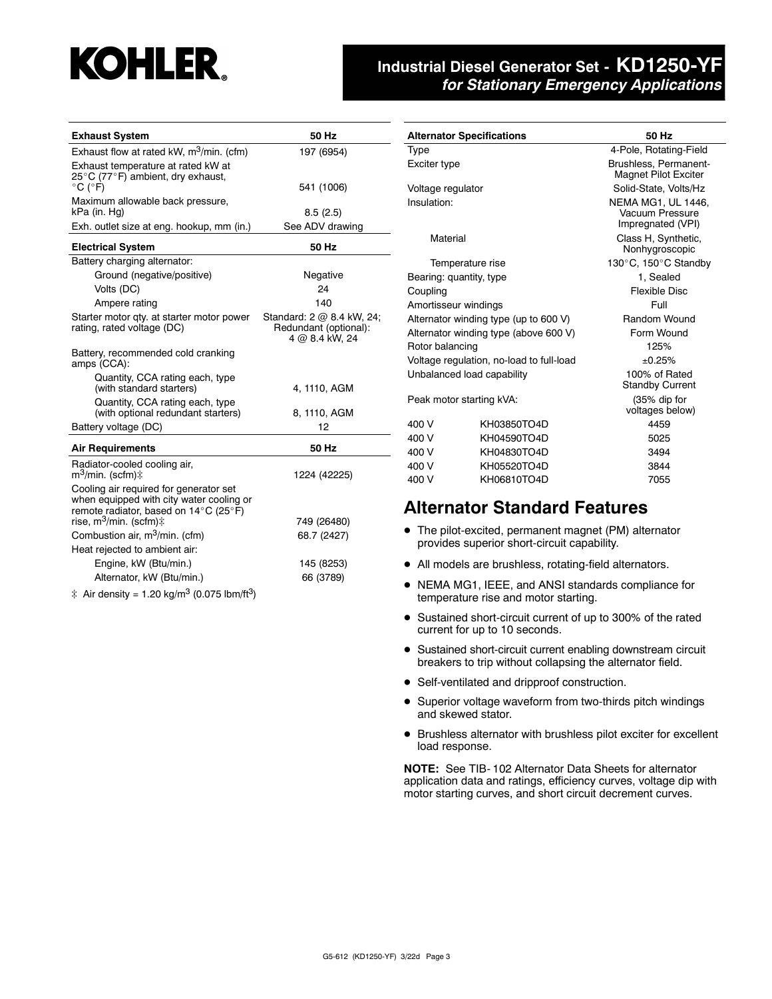# **Industrial Diesel Generator Set - KD1250-YF** *for Stationary Emergency Applications*

| <b>Exhaust System</b>                                                                                                                            | 50 Hz                                                                |
|--------------------------------------------------------------------------------------------------------------------------------------------------|----------------------------------------------------------------------|
| Exhaust flow at rated kW, $m^3/m$ in. (cfm)                                                                                                      | 197 (6954)                                                           |
| Exhaust temperature at rated kW at<br>25°C (77°F) ambient, dry exhaust,<br>$^{\circ}$ C ( $^{\circ}$ F)                                          | 541 (1006)                                                           |
| Maximum allowable back pressure,<br>kPa (in. Hg)                                                                                                 | 8.5(2.5)                                                             |
| Exh. outlet size at eng. hookup, mm (in.)                                                                                                        | See ADV drawing                                                      |
| <b>Electrical System</b>                                                                                                                         | 50 Hz                                                                |
| Battery charging alternator:                                                                                                                     |                                                                      |
| Ground (negative/positive)                                                                                                                       | Negative                                                             |
| Volts (DC)                                                                                                                                       | 24                                                                   |
| Ampere rating                                                                                                                                    | 140                                                                  |
| Starter motor qty. at starter motor power<br>rating, rated voltage (DC)                                                                          | Standard: 2 @ 8.4 kW, 24;<br>Redundant (optional):<br>4 @ 8.4 kW, 24 |
| Battery, recommended cold cranking<br>amps (CCA):                                                                                                |                                                                      |
| Quantity, CCA rating each, type<br>(with standard starters)                                                                                      | 4, 1110, AGM                                                         |
| Quantity, CCA rating each, type<br>(with optional redundant starters)                                                                            | 8, 1110, AGM                                                         |
| Battery voltage (DC)                                                                                                                             | 12                                                                   |
| <b>Air Requirements</b>                                                                                                                          | 50 Hz                                                                |
| Radiator-cooled cooling air,<br>m <sup>3</sup> /min. (scfm)‡                                                                                     | 1224 (42225)                                                         |
| Cooling air required for generator set<br>when equipped with city water cooling or<br>remote radiator, based on $14^{\circ}$ C (25 $^{\circ}$ F) |                                                                      |
| rise, m <sup>3</sup> /min. (scfm)‡                                                                                                               | 749 (26480)                                                          |
| Combustion air, m <sup>3</sup> /min. (cfm)                                                                                                       | 68.7 (2427)                                                          |
| Heat rejected to ambient air:                                                                                                                    |                                                                      |
| Engine, kW (Btu/min.)                                                                                                                            | 145 (8253)                                                           |
| Alternator, kW (Btu/min.)                                                                                                                        | 66 (3789)                                                            |
|                                                                                                                                                  |                                                                      |

 $\ddagger$  Air density = 1.20 kg/m<sup>3</sup> (0.075 lbm/ft<sup>3</sup>)

|                                          | <b>Alternator Specifications</b>      | 50 Hz                                                      |  |  |
|------------------------------------------|---------------------------------------|------------------------------------------------------------|--|--|
| Type                                     |                                       | 4-Pole, Rotating-Field                                     |  |  |
| Exciter type                             |                                       | Brushless, Permanent-<br><b>Magnet Pilot Exciter</b>       |  |  |
| Voltage regulator                        |                                       | Solid-State, Volts/Hz                                      |  |  |
| Insulation:                              |                                       | NEMA MG1, UL 1446,<br>Vacuum Pressure<br>Impregnated (VPI) |  |  |
| Material                                 |                                       | Class H, Synthetic,<br>Nonhygroscopic                      |  |  |
|                                          | Temperature rise                      | 130°C, 150°C Standby                                       |  |  |
|                                          | Bearing: quantity, type               | 1. Sealed                                                  |  |  |
| Coupling                                 |                                       | <b>Flexible Disc</b>                                       |  |  |
| Amortisseur windings                     |                                       | Full                                                       |  |  |
|                                          | Alternator winding type (up to 600 V) | Random Wound                                               |  |  |
| Alternator winding type (above 600 V)    |                                       | Form Wound                                                 |  |  |
| Rotor balancing                          |                                       | 125%                                                       |  |  |
| Voltage regulation, no-load to full-load |                                       | ±0.25%                                                     |  |  |
|                                          | Unbalanced load capability            | 100% of Rated<br><b>Standby Current</b>                    |  |  |
| Peak motor starting kVA:                 |                                       | (35% dip for<br>voltages below)                            |  |  |
| 400 V                                    | KH03850TO4D                           | 4459                                                       |  |  |
| 400 V                                    | KH04590TO4D                           | 5025                                                       |  |  |
| 400 V                                    | KH04830TO4D                           | 3494                                                       |  |  |
| 400 V                                    | KH05520TO4D                           | 3844                                                       |  |  |
| 400 V<br>KH06810TO4D                     |                                       | 7055                                                       |  |  |

## **Alternator Standard Features**

- The pilot-excited, permanent magnet (PM) alternator provides superior short-circuit capability.
- All models are brushless, rotating-field alternators.
- NEMA MG1, IEEE, and ANSI standards compliance for temperature rise and motor starting.
- Sustained short-circuit current of up to 300% of the rated current for up to 10 seconds.
- **•** Sustained short-circuit current enabling downstream circuit breakers to trip without collapsing the alternator field.
- Self-ventilated and dripproof construction.
- Superior voltage waveform from two-thirds pitch windings and skewed stator.
- Brushless alternator with brushless pilot exciter for excellent load response.

**NOTE:** See TIB- 102 Alternator Data Sheets for alternator application data and ratings, efficiency curves, voltage dip with motor starting curves, and short circuit decrement curves.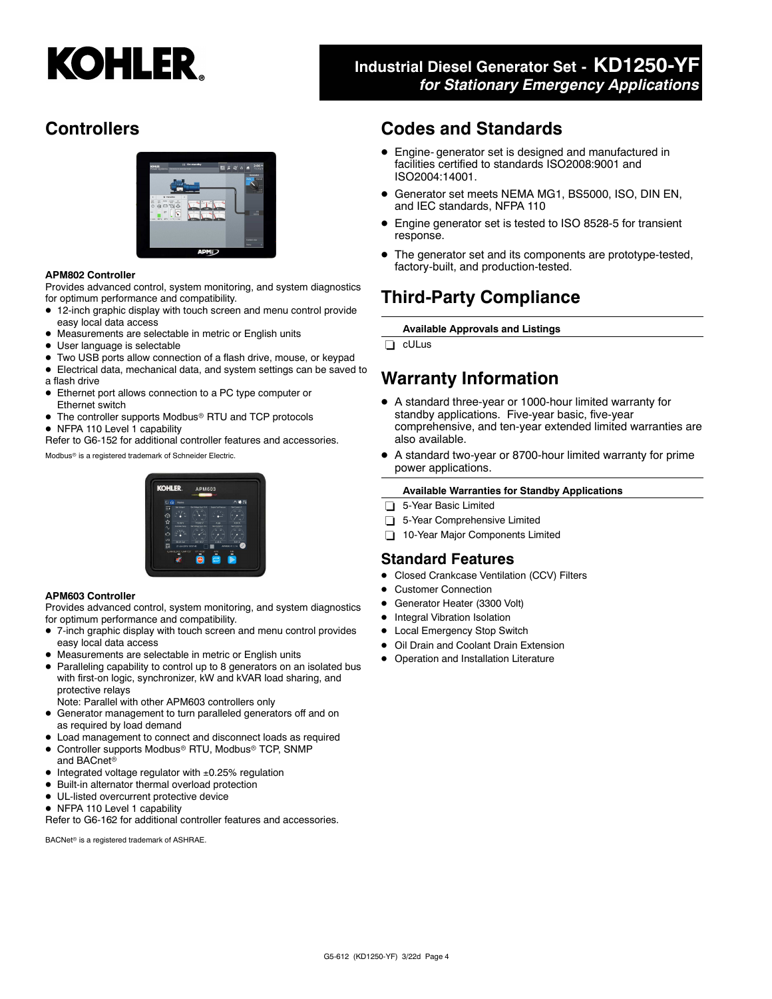# **Industrial Diesel Generator Set - KD1250-YF** *for Stationary Emergency Applications*

# **Controllers**



#### **APM802 Controller**

Provides advanced control, system monitoring, and system diagnostics for optimum performance and compatibility.

- 12-inch graphic display with touch screen and menu control provide easy local data access
- Measurements are selectable in metric or English units
- User language is selectable
- Two USB ports allow connection of a flash drive, mouse, or keypad
- Electrical data, mechanical data, and system settings can be saved to a flash drive
- Ethernet port allows connection to a PC type computer or Ethernet switch
- The controller supports Modbus® RTU and TCP protocols
- NFPA 110 Level 1 capability

Refer to G6-152 for additional controller features and accessories.

Modbus<sup>®</sup> is a registered trademark of Schneider Electric.

# **KOHI ED**

#### **APM603 Controller**

Provides advanced control, system monitoring, and system diagnostics for optimum performance and compatibility.

- 7-inch graphic display with touch screen and menu control provides easy local data access
- Measurements are selectable in metric or English units
- Paralleling capability to control up to 8 generators on an isolated bus with first-on logic, synchronizer, kW and kVAR load sharing, and protective relays
- Note: Parallel with other APM603 controllers only
- Generator management to turn paralleled generators off and on as required by load demand
- Load management to connect and disconnect loads as required
- $\bullet$ Controller supports Modbus<sup>®</sup> RTU, Modbus<sup>®</sup> TCP, SNMP and BACnet
- Integrated voltage regulator with ±0.25% regulation
- $\bullet$  Built-in alternator thermal overload protection
- $\bullet$  UL-listed overcurrent protective device
- NFPA 110 Level 1 capability

Refer to G6-162 for additional controller features and accessories.

BACNet<sup>®</sup> is a registered trademark of ASHRAE.

## **Codes and Standards**

- Engine- generator set is designed and manufactured in facilities certified to standards ISO2008:9001 and ISO2004:14001.
- Generator set meets NEMA MG1, BS5000, ISO, DIN EN, and IEC standards, NFPA 110
- $\bullet$  Engine generator set is tested to ISO 8528-5 for transient response.
- $\bullet$  The generator set and its components are prototype-tested, factory-built, and production-tested.

# **Third-Party Compliance**

**Available Approvals and Listings**

cULus

# **Warranty Information**

- A standard three-year or 1000-hour limited warranty for standby applications. Five-year basic, five-year comprehensive, and ten-year extended limited warranties are also available.
- A standard two-year or 8700-hour limited warranty for prime power applications.

#### **Available Warranties for Standby Applications**

- 5-Year Basic Limited
- 5-Year Comprehensive Limited
- 10-Year Major Components Limited

#### **Standard Features**

- $\bullet$ Closed Crankcase Ventilation (CCV) Filters
- $\bullet$ Customer Connection
- $\bullet$ Generator Heater (3300 Volt)
- $\bullet$ Integral Vibration Isolation
- $\bullet$ Local Emergency Stop Switch
- $\bullet$ Oil Drain and Coolant Drain Extension
- **•** Operation and Installation Literature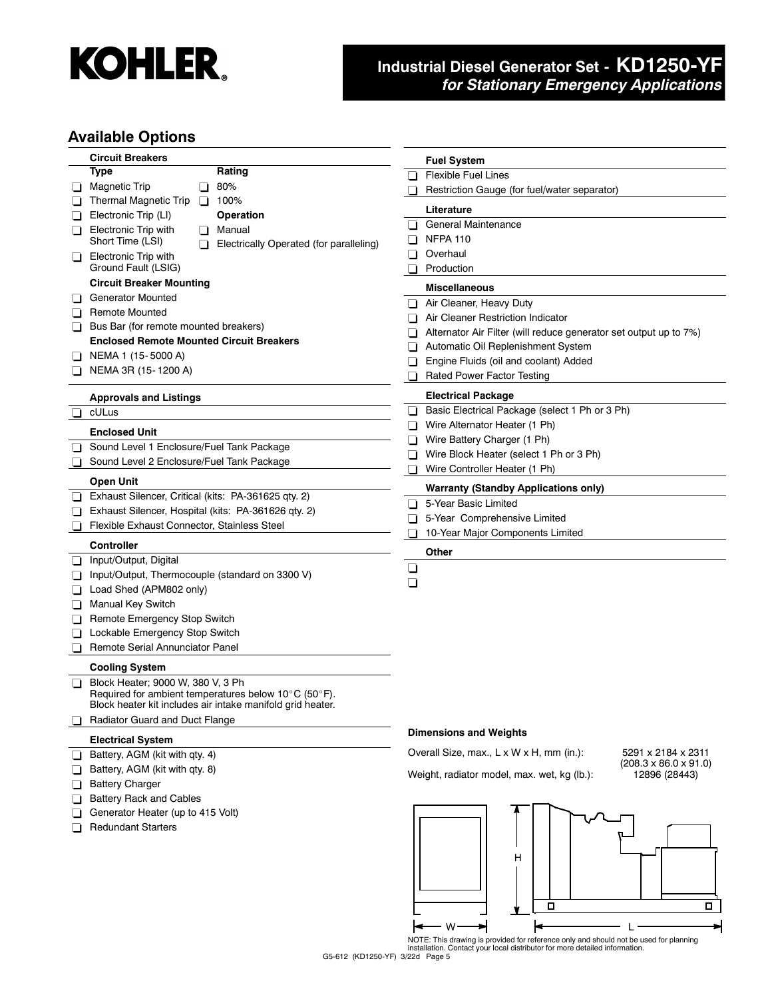

# **Industrial Diesel Generator Set - KD1250-YF** *for Stationary Emergency Applications*

### **Available Options**

|        | <b>Circuit Breakers</b>                                          | <b>Fuel System</b>                                                |
|--------|------------------------------------------------------------------|-------------------------------------------------------------------|
|        | Rating<br>Type                                                   | <b>Flexible Fuel Lines</b><br>ப                                   |
| ⊔      | 80%<br><b>Magnetic Trip</b><br>ப                                 | Restriction Gauge (for fuel/water separator)                      |
| ⊔      | <b>Thermal Magnetic Trip</b><br>100%<br>ப                        | Literature                                                        |
|        | <b>Operation</b><br>Electronic Trip (LI)                         |                                                                   |
| ப      | <b>Electronic Trip with</b><br>Manual<br>$\blacksquare$          | General Maintenance<br>ΠL                                         |
|        | Short Time (LSI)<br>Electrically Operated (for paralleling)<br>⊓ | <b>NFPA 110</b><br>◻                                              |
| ⊔      | Electronic Trip with                                             | Overhaul<br>ப                                                     |
|        | Ground Fault (LSIG)                                              | Production                                                        |
|        | <b>Circuit Breaker Mounting</b>                                  | Miscellaneous                                                     |
| ப      | <b>Generator Mounted</b>                                         | Air Cleaner, Heavy Duty                                           |
| ப      | <b>Remote Mounted</b>                                            | Air Cleaner Restriction Indicator                                 |
| ப      | Bus Bar (for remote mounted breakers)                            | Alternator Air Filter (will reduce generator set output up to 7%) |
|        | <b>Enclosed Remote Mounted Circuit Breakers</b>                  | Automatic Oil Replenishment System<br>∣ 1                         |
|        | NEMA 1 (15-5000 A)                                               | Engine Fluids (oil and coolant) Added<br>l 1                      |
|        | NEMA 3R (15-1200 A)                                              | <b>Rated Power Factor Testing</b>                                 |
|        |                                                                  |                                                                   |
|        | <b>Approvals and Listings</b>                                    | <b>Electrical Package</b>                                         |
| ⊔      | cULus                                                            | Basic Electrical Package (select 1 Ph or 3 Ph)<br>ப               |
|        | <b>Enclosed Unit</b>                                             | Wire Alternator Heater (1 Ph)<br>Π                                |
| ⊔      | Sound Level 1 Enclosure/Fuel Tank Package                        | Wire Battery Charger (1 Ph)                                       |
|        | Sound Level 2 Enclosure/Fuel Tank Package                        | Wire Block Heater (select 1 Ph or 3 Ph)                           |
|        |                                                                  | Wire Controller Heater (1 Ph)                                     |
|        | Open Unit                                                        | <b>Warranty (Standby Applications only)</b>                       |
| ⊔      | Exhaust Silencer, Critical (kits: PA-361625 qty. 2)              | 5-Year Basic Limited<br>$\Box$                                    |
| ⊔      | Exhaust Silencer, Hospital (kits: PA-361626 qty. 2)              | 5-Year Comprehensive Limited<br>n                                 |
| $\Box$ | Flexible Exhaust Connector, Stainless Steel                      | 10-Year Major Components Limited<br>H                             |
|        | Controller                                                       | Other                                                             |
| ⊔      | Input/Output, Digital                                            |                                                                   |
|        | Input/Output, Thermocouple (standard on 3300 V)                  | ⊔                                                                 |
| ப      | Load Shed (APM802 only)                                          | ⊔                                                                 |
| ப      | Manual Key Switch                                                |                                                                   |
| ⊔      | Remote Emergency Stop Switch                                     |                                                                   |
| ⊔      | Lockable Emergency Stop Switch                                   |                                                                   |
| ப      | Remote Serial Annunciator Panel                                  |                                                                   |
|        | <b>Cooling System</b>                                            |                                                                   |
| ⊔      | Block Heater; 9000 W, 380 V, 3 Ph                                |                                                                   |
|        | Required for ambient temperatures below 10°C (50°F).             |                                                                   |
|        | Block heater kit includes air intake manifold grid heater.       |                                                                   |
|        | Radiator Guard and Duct Flange                                   |                                                                   |
|        | <b>Electrical System</b>                                         | <b>Dimensions and Weights</b>                                     |
| ⊔      | Battery, AGM (kit with qty. 4)                                   | Overall Size, max., L x W x H, mm (in.):<br>5291 x 2184 x 2311    |
| ப      | Battery, AGM (kit with qty. 8)                                   | $(208.3 \times 86.0 \times 91.0)$                                 |
|        | <b>Battery Charger</b>                                           | Weight, radiator model, max. wet, kg (lb.):<br>12896 (28443)      |
| ❏      |                                                                  |                                                                   |
| ⊔      | <b>Battery Rack and Cables</b>                                   |                                                                   |
|        | Generator Heater (up to 415 Volt)                                |                                                                   |
|        | <b>Redundant Starters</b>                                        |                                                                   |
|        |                                                                  |                                                                   |
|        |                                                                  | н                                                                 |
|        |                                                                  |                                                                   |
|        |                                                                  |                                                                   |
|        |                                                                  | о<br>о                                                            |
|        |                                                                  |                                                                   |

NOTE: This drawing is provided for reference only and should not be used for planning installation. Contact your local distributor for more detailed information.  $\leftarrow$  w $\rightarrow$   $\leftarrow$   $\leftarrow$   $\leftarrow$   $\leftarrow$ 

⇥

G5-612 (KD1250-YF) 3/22d Page 5